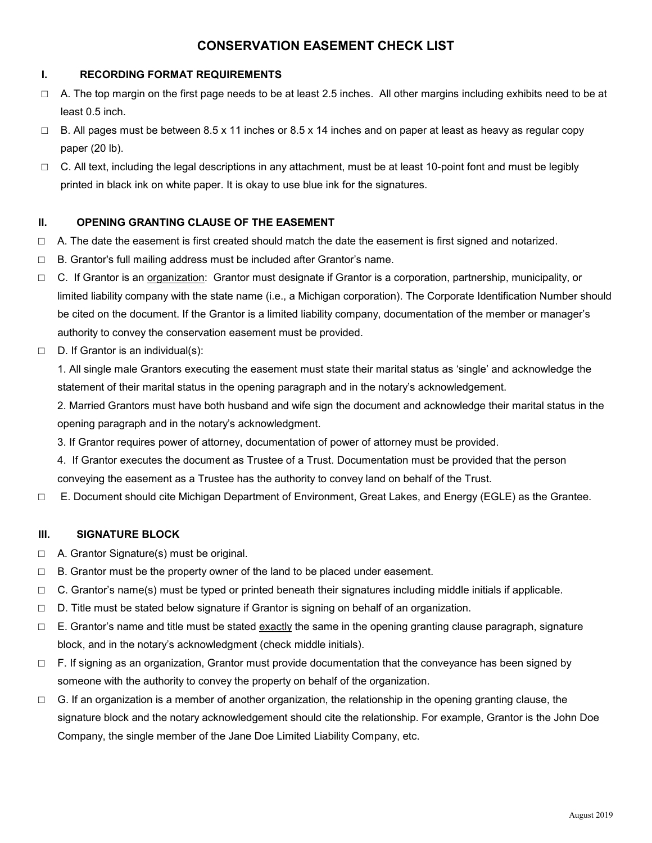# **CONSERVATION EASEMENT CHECK LIST**

# **I. RECORDING FORMAT REQUIREMENTS**

- $\Box$  A. The top margin on the first page needs to be at least 2.5 inches. All other margins including exhibits need to be at least 0.5 inch.
- $\Box$  B. All pages must be between 8.5 x 11 inches or 8.5 x 14 inches and on paper at least as heavy as regular copy paper (20 lb).
- $\Box$  C. All text, including the legal descriptions in any attachment, must be at least 10-point font and must be legibly printed in black ink on white paper. It is okay to use blue ink for the signatures.

# **II. OPENING GRANTING CLAUSE OF THE EASEMENT**

- $\Box$  A. The date the easement is first created should match the date the easement is first signed and notarized.
- □ B. Grantor's full mailing address must be included after Grantor's name.
- □ C. If Grantor is an organization: Grantor must designate if Grantor is a corporation, partnership, municipality, or limited liability company with the state name (i.e., a Michigan corporation). The Corporate Identification Number should be cited on the document. If the Grantor is a limited liability company, documentation of the member or manager's authority to convey the conservation easement must be provided.
- □ D. If Grantor is an individual(s):

1. All single male Grantors executing the easement must state their marital status as 'single' and acknowledge the statement of their marital status in the opening paragraph and in the notary's acknowledgement.

2. Married Grantors must have both husband and wife sign the document and acknowledge their marital status in the opening paragraph and in the notary's acknowledgment.

- 3. If Grantor requires power of attorney, documentation of power of attorney must be provided.
- 4. If Grantor executes the document as Trustee of a Trust. Documentation must be provided that the person conveying the easement as a Trustee has the authority to convey land on behalf of the Trust.
- □ E. Document should cite Michigan Department of Environment, Great Lakes, and Energy (EGLE) as the Grantee.

# **III. SIGNATURE BLOCK**

- □ A. Grantor Signature(s) must be original.
- $\Box$  B. Grantor must be the property owner of the land to be placed under easement.
- $\Box$  C. Grantor's name(s) must be typed or printed beneath their signatures including middle initials if applicable.
- $\Box$  D. Title must be stated below signature if Grantor is signing on behalf of an organization.
- $\Box$  E. Grantor's name and title must be stated exactly the same in the opening granting clause paragraph, signature block, and in the notary's acknowledgment (check middle initials).
- □ F. If signing as an organization, Grantor must provide documentation that the conveyance has been signed by someone with the authority to convey the property on behalf of the organization.
- $\Box$  G. If an organization is a member of another organization, the relationship in the opening granting clause, the signature block and the notary acknowledgement should cite the relationship. For example, Grantor is the John Doe Company, the single member of the Jane Doe Limited Liability Company, etc.